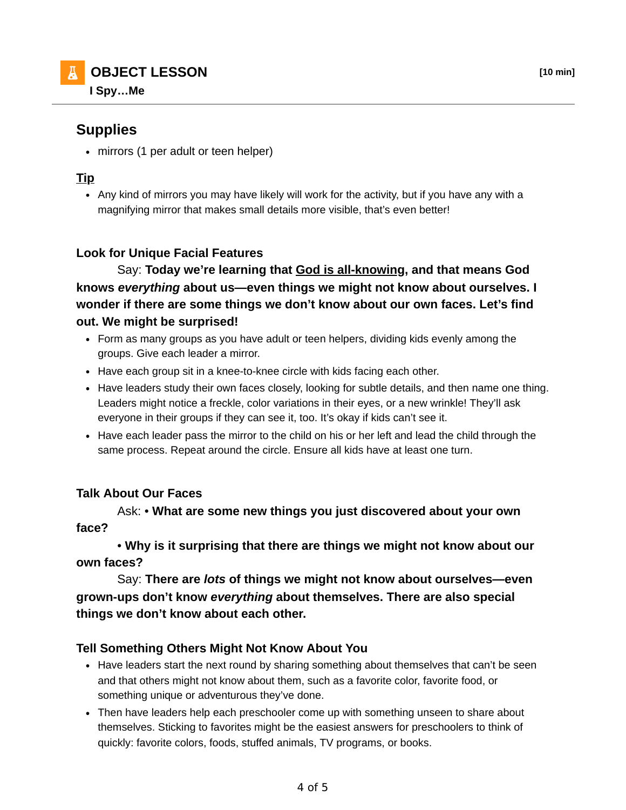# **Supplies**

• mirrors (1 per adult or teen helper)

# **Tip**

• Any kind of mirrors you may have likely will work for the activity, but if you have any with a magnifying mirror that makes small details more visible, that's even better!

# **Look for Unique Facial Features**

 Say: **Today we're learning that God is all-knowing, and that means God knows** *everything* **about us—even things we might not know about ourselves. I wonder if there are some things we don't know about our own faces. Let's find out. We might be surprised!**

- Form as many groups as you have adult or teen helpers, dividing kids evenly among the groups. Give each leader a mirror.
- Have each group sit in a knee-to-knee circle with kids facing each other.
- Have leaders study their own faces closely, looking for subtle details, and then name one thing. Leaders might notice a freckle, color variations in their eyes, or a new wrinkle! They'll ask everyone in their groups if they can see it, too. It's okay if kids can't see it.
- Have each leader pass the mirror to the child on his or her left and lead the child through the same process. Repeat around the circle. Ensure all kids have at least one turn.

### **Talk About Our Faces**

 Ask: • **What are some new things you just discovered about your own face?**

 • **Why is it surprising that there are things we might not know about our own faces?**

 Say: **There are** *lots* **of things we might not know about ourselves—even grown-ups don't know** *everything* **about themselves. There are also special things we don't know about each other.**

### **Tell Something Others Might Not Know About You**

- Have leaders start the next round by sharing something about themselves that can't be seen and that others might not know about them, such as a favorite color, favorite food, or something unique or adventurous they've done.
- Then have leaders help each preschooler come up with something unseen to share about themselves. Sticking to favorites might be the easiest answers for preschoolers to think of quickly: favorite colors, foods, stuffed animals, TV programs, or books.